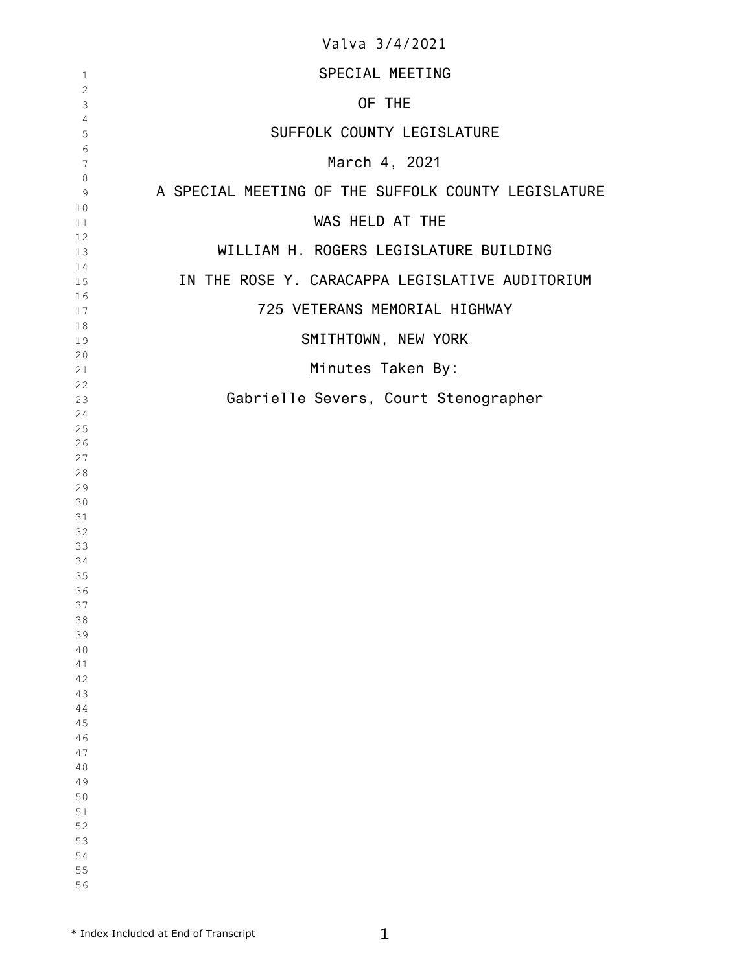|          | Valva 3/4/2021                                      |
|----------|-----------------------------------------------------|
| 1        | SPECIAL MEETING                                     |
| 2        |                                                     |
| 3        | OF THE                                              |
| 4<br>5   | SUFFOLK COUNTY LEGISLATURE                          |
| 6<br>7   | March 4, 2021                                       |
| 8<br>9   | A SPECIAL MEETING OF THE SUFFOLK COUNTY LEGISLATURE |
| 10<br>11 | WAS HELD AT THE                                     |
| 12<br>13 | WILLIAM H. ROGERS LEGISLATURE BUILDING              |
| 14<br>15 | IN THE ROSE Y. CARACAPPA LEGISLATIVE AUDITORIUM     |
| 16<br>17 | 725 VETERANS MEMORIAL HIGHWAY                       |
| 18<br>19 | SMITHTOWN, NEW YORK                                 |
| 20<br>21 | Minutes Taken By:                                   |
| 22       |                                                     |
| 23       | Gabrielle Severs, Court Stenographer                |
| 24       |                                                     |
| 25<br>26 |                                                     |
| 27       |                                                     |
| 28       |                                                     |
| 29       |                                                     |
| 30       |                                                     |
| 31<br>32 |                                                     |
| 33       |                                                     |
| 34       |                                                     |
| 35       |                                                     |
| 36       |                                                     |
| 37<br>38 |                                                     |
| 39       |                                                     |
| 40       |                                                     |
| 41       |                                                     |
| 42       |                                                     |
| 43<br>44 |                                                     |
| 45       |                                                     |
| 46       |                                                     |
| 47       |                                                     |
| 48       |                                                     |
| 49<br>50 |                                                     |
| 51       |                                                     |
| 52       |                                                     |
| 53       |                                                     |
| 54       |                                                     |
| 55       |                                                     |
| 56       |                                                     |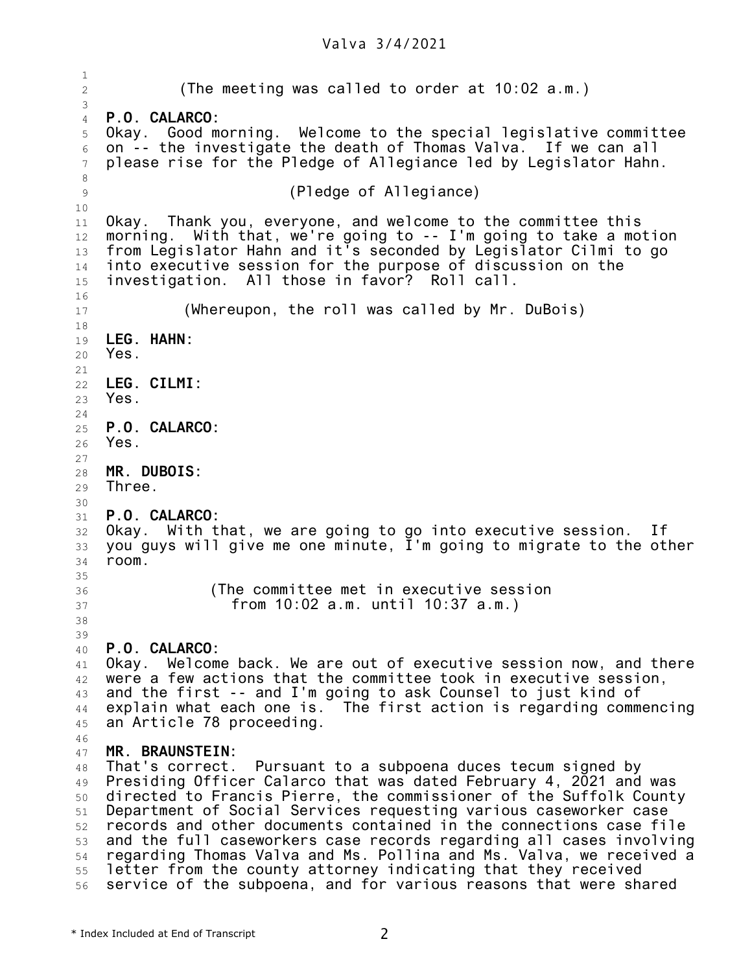## Valva 3/4/2021

1 2 3 4 5 6 7 8 9 10 11 12 13 14 15 16 17 18 19 20 21 22 23 24 25 26 27 28  $29$ 30 31 32 33 34 35 36 37 38 39 40 41 42 43 44 45 46 47 48 49 50 51 52 53 54 55 56 (The meeting was called to order at 10:02 a.m.) **P.O. CALARCO:** Okay. Good morning. Welcome to the special legislative committee on -- the investigate the death of Thomas Valva. If we can all please rise for the Pledge of Allegiance led by Legislator Hahn. (Pledge of Allegiance) Okay. Thank you, everyone, and welcome to the committee this morning. With that, we're going to -- I'm going to take a motion from Legislator Hahn and it's seconded by Legislator Cilmi to go into executive session for the purpose of discussion on the investigation. All those in favor? Roll call. (Whereupon, the roll was called by Mr. DuBois) **LEG. HAHN:** Yes. **LEG. CILMI:** Yes. **P.O. CALARCO:** Yes. **MR. DUBOIS:** Three. **P.O. CALARCO:** Okay. With that, we are going to go into executive session. If you guys will give me one minute, I'm going to migrate to the other room. (The committee met in executive session from 10:02 a.m. until 10:37 a.m.) **P.O. CALARCO:** Okay. Welcome back. We are out of executive session now, and there were a few actions that the committee took in executive session, and the first -- and I'm going to ask Counsel to just kind of explain what each one is. The first action is regarding commencing an Article 78 proceeding. **MR. BRAUNSTEIN:** That's correct. Pursuant to a subpoena duces tecum signed by Presiding Officer Calarco that was dated February 4, 2021 and was directed to Francis Pierre, the commissioner of the Suffolk County Department of Social Services requesting various caseworker case records and other documents contained in the connections case file and the full caseworkers case records regarding all cases involving regarding Thomas Valva and Ms. Pollina and Ms. Valva, we received a letter from the county attorney indicating that they received service of the subpoena, and for various reasons that were shared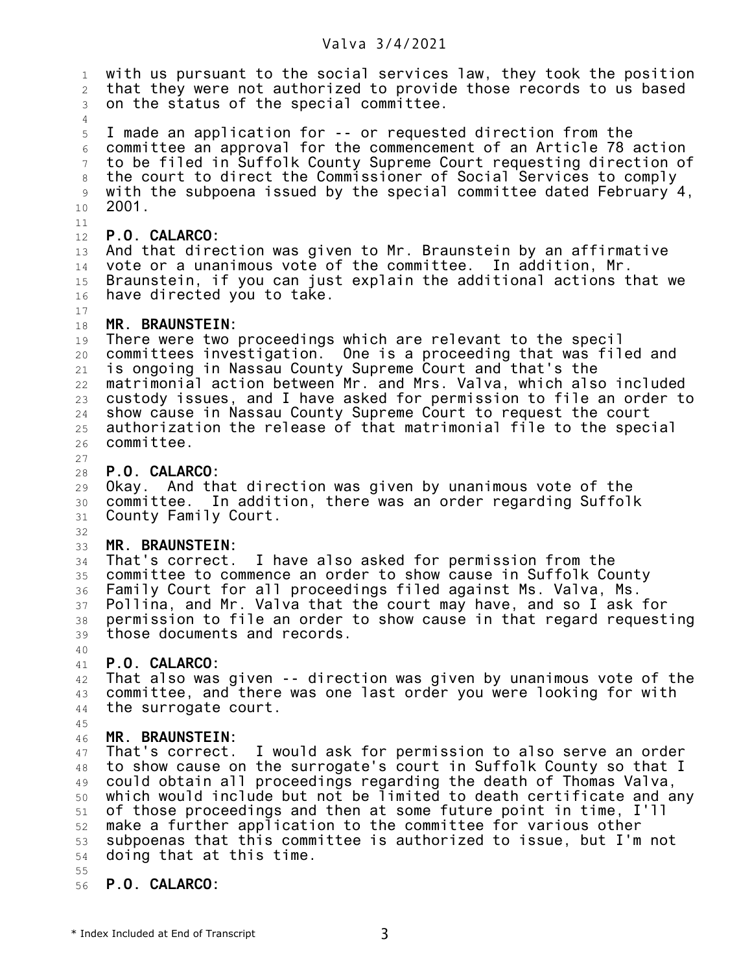## Valva 3/4/2021

1 2 3 4 5 6 7 8 9 10 11 12 13 14 15 16 17 18 19 20 21 22 23 24 25 26 27 28 29 30 31 32 33 34 35 36 37 38 39 40 41 42 43 44 45 46 47 48 49 50 51 52 53 54 55 56 with us pursuant to the social services law, they took the position that they were not authorized to provide those records to us based on the status of the special committee. I made an application for -- or requested direction from the committee an approval for the commencement of an Article 78 action to be filed in Suffolk County Supreme Court requesting direction of the court to direct the Commissioner of Social Services to comply with the subpoena issued by the special committee dated February 4, 2001. **P.O. CALARCO:** And that direction was given to Mr. Braunstein by an affirmative vote or a unanimous vote of the committee. In addition, Mr. Braunstein, if you can just explain the additional actions that we have directed you to take. **MR. BRAUNSTEIN:** There were two proceedings which are relevant to the specil committees investigation. One is a proceeding that was filed and is ongoing in Nassau County Supreme Court and that's the matrimonial action between Mr. and Mrs. Valva, which also included custody issues, and I have asked for permission to file an order to show cause in Nassau County Supreme Court to request the court authorization the release of that matrimonial file to the special committee. **P.O. CALARCO:** Okay. And that direction was given by unanimous vote of the committee. In addition, there was an order regarding Suffolk County Family Court. **MR. BRAUNSTEIN:** That's correct. I have also asked for permission from the committee to commence an order to show cause in Suffolk County Family Court for all proceedings filed against Ms. Valva, Ms. Pollina, and Mr. Valva that the court may have, and so I ask for permission to file an order to show cause in that regard requesting those documents and records. **P.O. CALARCO:** That also was given -- direction was given by unanimous vote of the committee, and there was one last order you were looking for with the surrogate court. **MR. BRAUNSTEIN:** That's correct. I would ask for permission to also serve an order to show cause on the surrogate's court in Suffolk County so that I could obtain all proceedings regarding the death of Thomas Valva, which would include but not be limited to death certificate and any of those proceedings and then at some future point in time, I'll make a further application to the committee for various other subpoenas that this committee is authorized to issue, but I'm not doing that at this time. **P.O. CALARCO:**